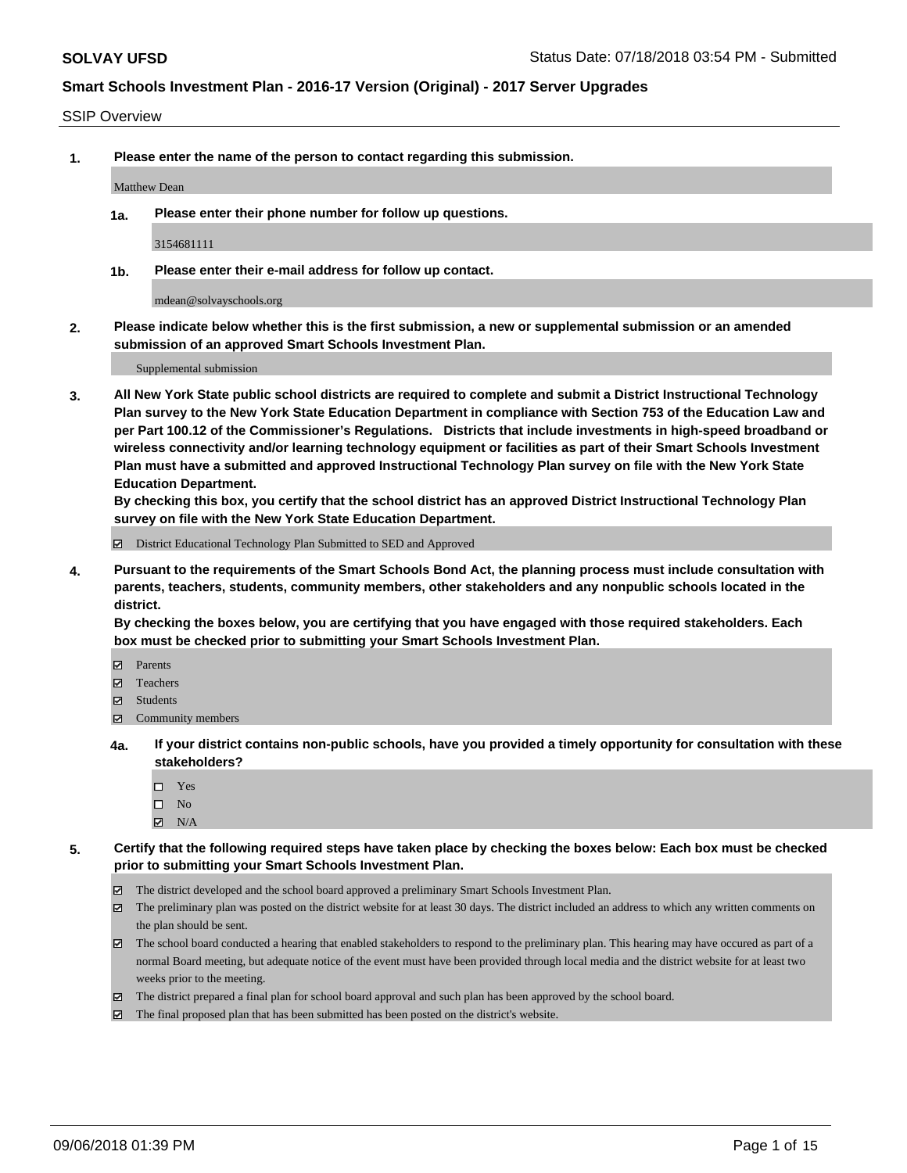#### SSIP Overview

**1. Please enter the name of the person to contact regarding this submission.**

Matthew Dean

**1a. Please enter their phone number for follow up questions.**

3154681111

**1b. Please enter their e-mail address for follow up contact.**

mdean@solvayschools.org

**2. Please indicate below whether this is the first submission, a new or supplemental submission or an amended submission of an approved Smart Schools Investment Plan.**

Supplemental submission

**3. All New York State public school districts are required to complete and submit a District Instructional Technology Plan survey to the New York State Education Department in compliance with Section 753 of the Education Law and per Part 100.12 of the Commissioner's Regulations. Districts that include investments in high-speed broadband or wireless connectivity and/or learning technology equipment or facilities as part of their Smart Schools Investment Plan must have a submitted and approved Instructional Technology Plan survey on file with the New York State Education Department.** 

**By checking this box, you certify that the school district has an approved District Instructional Technology Plan survey on file with the New York State Education Department.**

District Educational Technology Plan Submitted to SED and Approved

**4. Pursuant to the requirements of the Smart Schools Bond Act, the planning process must include consultation with parents, teachers, students, community members, other stakeholders and any nonpublic schools located in the district.** 

**By checking the boxes below, you are certifying that you have engaged with those required stakeholders. Each box must be checked prior to submitting your Smart Schools Investment Plan.**

- **Parents**
- Teachers
- **☑** Students
- **☑** Community members
- **4a. If your district contains non-public schools, have you provided a timely opportunity for consultation with these stakeholders?**
	- □ Yes
	- $\square$  No
	- $\boxtimes$  N/A
- **5. Certify that the following required steps have taken place by checking the boxes below: Each box must be checked prior to submitting your Smart Schools Investment Plan.**
	- The district developed and the school board approved a preliminary Smart Schools Investment Plan.
	- $\boxtimes$  The preliminary plan was posted on the district website for at least 30 days. The district included an address to which any written comments on the plan should be sent.
	- The school board conducted a hearing that enabled stakeholders to respond to the preliminary plan. This hearing may have occured as part of a normal Board meeting, but adequate notice of the event must have been provided through local media and the district website for at least two weeks prior to the meeting.
	- The district prepared a final plan for school board approval and such plan has been approved by the school board.
	- The final proposed plan that has been submitted has been posted on the district's website.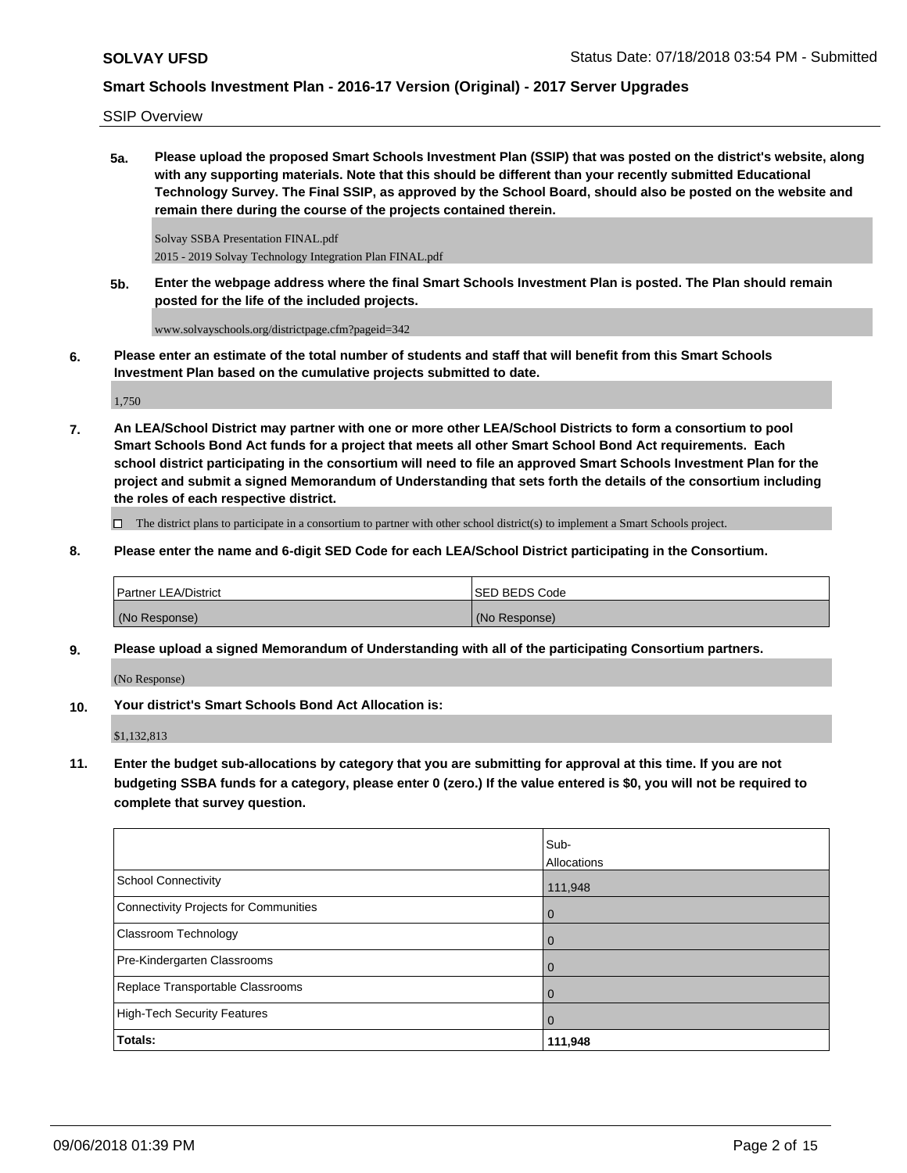SSIP Overview

**5a. Please upload the proposed Smart Schools Investment Plan (SSIP) that was posted on the district's website, along with any supporting materials. Note that this should be different than your recently submitted Educational Technology Survey. The Final SSIP, as approved by the School Board, should also be posted on the website and remain there during the course of the projects contained therein.**

Solvay SSBA Presentation FINAL.pdf 2015 - 2019 Solvay Technology Integration Plan FINAL.pdf

**5b. Enter the webpage address where the final Smart Schools Investment Plan is posted. The Plan should remain posted for the life of the included projects.**

www.solvayschools.org/districtpage.cfm?pageid=342

**6. Please enter an estimate of the total number of students and staff that will benefit from this Smart Schools Investment Plan based on the cumulative projects submitted to date.**

1,750

**7. An LEA/School District may partner with one or more other LEA/School Districts to form a consortium to pool Smart Schools Bond Act funds for a project that meets all other Smart School Bond Act requirements. Each school district participating in the consortium will need to file an approved Smart Schools Investment Plan for the project and submit a signed Memorandum of Understanding that sets forth the details of the consortium including the roles of each respective district.**

 $\Box$  The district plans to participate in a consortium to partner with other school district(s) to implement a Smart Schools project.

**8. Please enter the name and 6-digit SED Code for each LEA/School District participating in the Consortium.**

| <b>Partner LEA/District</b> | ISED BEDS Code |
|-----------------------------|----------------|
| (No Response)               | (No Response)  |

**9. Please upload a signed Memorandum of Understanding with all of the participating Consortium partners.**

(No Response)

**10. Your district's Smart Schools Bond Act Allocation is:**

\$1,132,813

**11. Enter the budget sub-allocations by category that you are submitting for approval at this time. If you are not budgeting SSBA funds for a category, please enter 0 (zero.) If the value entered is \$0, you will not be required to complete that survey question.**

|                                              | Sub-<br>Allocations |
|----------------------------------------------|---------------------|
| <b>School Connectivity</b>                   | 111,948             |
| <b>Connectivity Projects for Communities</b> | $\overline{0}$      |
| <b>Classroom Technology</b>                  | $\overline{0}$      |
| Pre-Kindergarten Classrooms                  | 0                   |
| Replace Transportable Classrooms             | $\mathbf 0$         |
| <b>High-Tech Security Features</b>           | $\mathbf 0$         |
| Totals:                                      | 111,948             |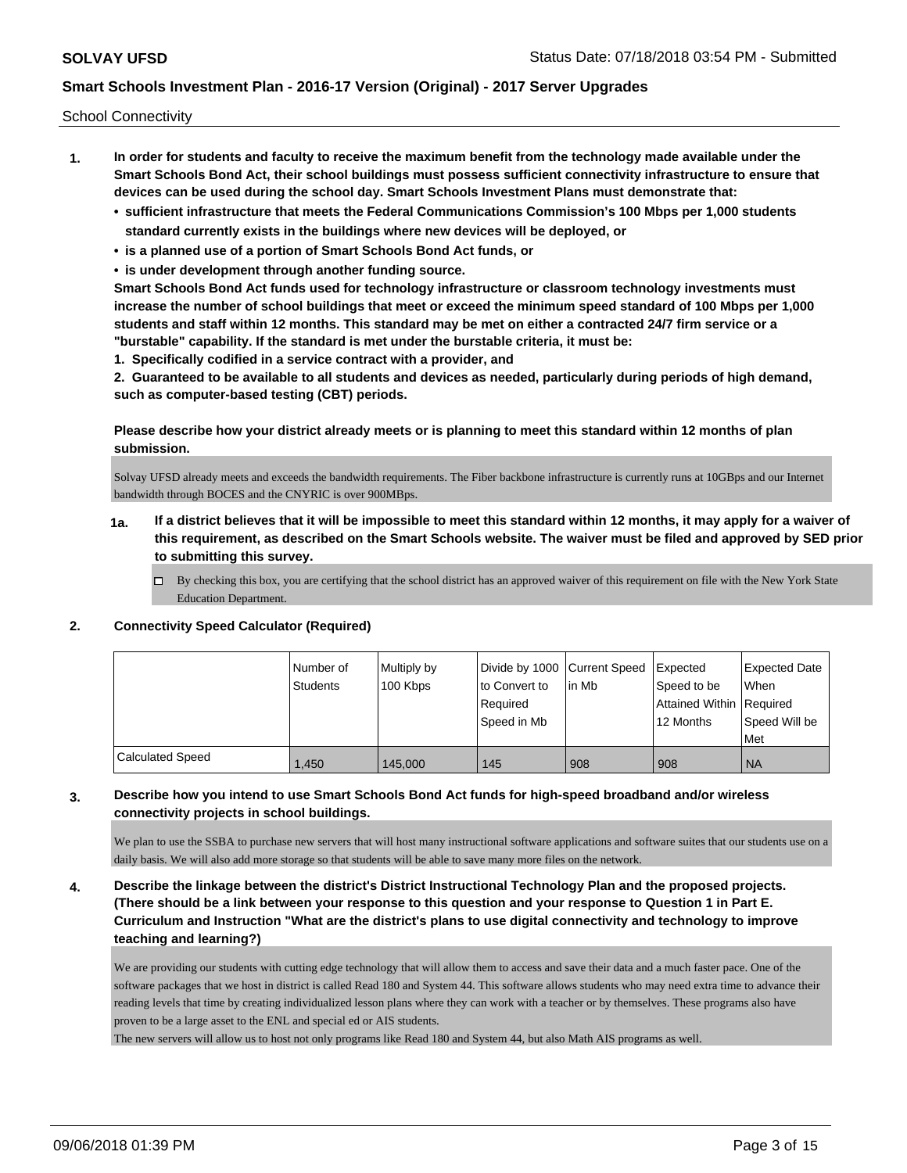School Connectivity

- **1. In order for students and faculty to receive the maximum benefit from the technology made available under the Smart Schools Bond Act, their school buildings must possess sufficient connectivity infrastructure to ensure that devices can be used during the school day. Smart Schools Investment Plans must demonstrate that:**
	- **• sufficient infrastructure that meets the Federal Communications Commission's 100 Mbps per 1,000 students standard currently exists in the buildings where new devices will be deployed, or**
	- **• is a planned use of a portion of Smart Schools Bond Act funds, or**
	- **• is under development through another funding source.**

**Smart Schools Bond Act funds used for technology infrastructure or classroom technology investments must increase the number of school buildings that meet or exceed the minimum speed standard of 100 Mbps per 1,000 students and staff within 12 months. This standard may be met on either a contracted 24/7 firm service or a "burstable" capability. If the standard is met under the burstable criteria, it must be:**

**1. Specifically codified in a service contract with a provider, and**

**2. Guaranteed to be available to all students and devices as needed, particularly during periods of high demand, such as computer-based testing (CBT) periods.**

**Please describe how your district already meets or is planning to meet this standard within 12 months of plan submission.**

Solvay UFSD already meets and exceeds the bandwidth requirements. The Fiber backbone infrastructure is currently runs at 10GBps and our Internet bandwidth through BOCES and the CNYRIC is over 900MBps.

- **1a. If a district believes that it will be impossible to meet this standard within 12 months, it may apply for a waiver of this requirement, as described on the Smart Schools website. The waiver must be filed and approved by SED prior to submitting this survey.**
	- $\Box$  By checking this box, you are certifying that the school district has an approved waiver of this requirement on file with the New York State Education Department.

#### **2. Connectivity Speed Calculator (Required)**

|                         | Number of<br>Students | Multiply by<br>100 Kbps | Divide by 1000 Current Speed<br>to Convert to<br>Required<br>Speed in Mb | l in Mb | Expected<br>Speed to be<br>Attained Within   Required<br>12 Months | <b>Expected Date</b><br>When<br>Speed Will be<br>Met |
|-------------------------|-----------------------|-------------------------|--------------------------------------------------------------------------|---------|--------------------------------------------------------------------|------------------------------------------------------|
| <b>Calculated Speed</b> | 1.450                 | 145,000                 | 145                                                                      | 908     | 908                                                                | <b>NA</b>                                            |

### **3. Describe how you intend to use Smart Schools Bond Act funds for high-speed broadband and/or wireless connectivity projects in school buildings.**

We plan to use the SSBA to purchase new servers that will host many instructional software applications and software suites that our students use on a daily basis. We will also add more storage so that students will be able to save many more files on the network.

**4. Describe the linkage between the district's District Instructional Technology Plan and the proposed projects. (There should be a link between your response to this question and your response to Question 1 in Part E. Curriculum and Instruction "What are the district's plans to use digital connectivity and technology to improve teaching and learning?)**

We are providing our students with cutting edge technology that will allow them to access and save their data and a much faster pace. One of the software packages that we host in district is called Read 180 and System 44. This software allows students who may need extra time to advance their reading levels that time by creating individualized lesson plans where they can work with a teacher or by themselves. These programs also have proven to be a large asset to the ENL and special ed or AIS students.

The new servers will allow us to host not only programs like Read 180 and System 44, but also Math AIS programs as well.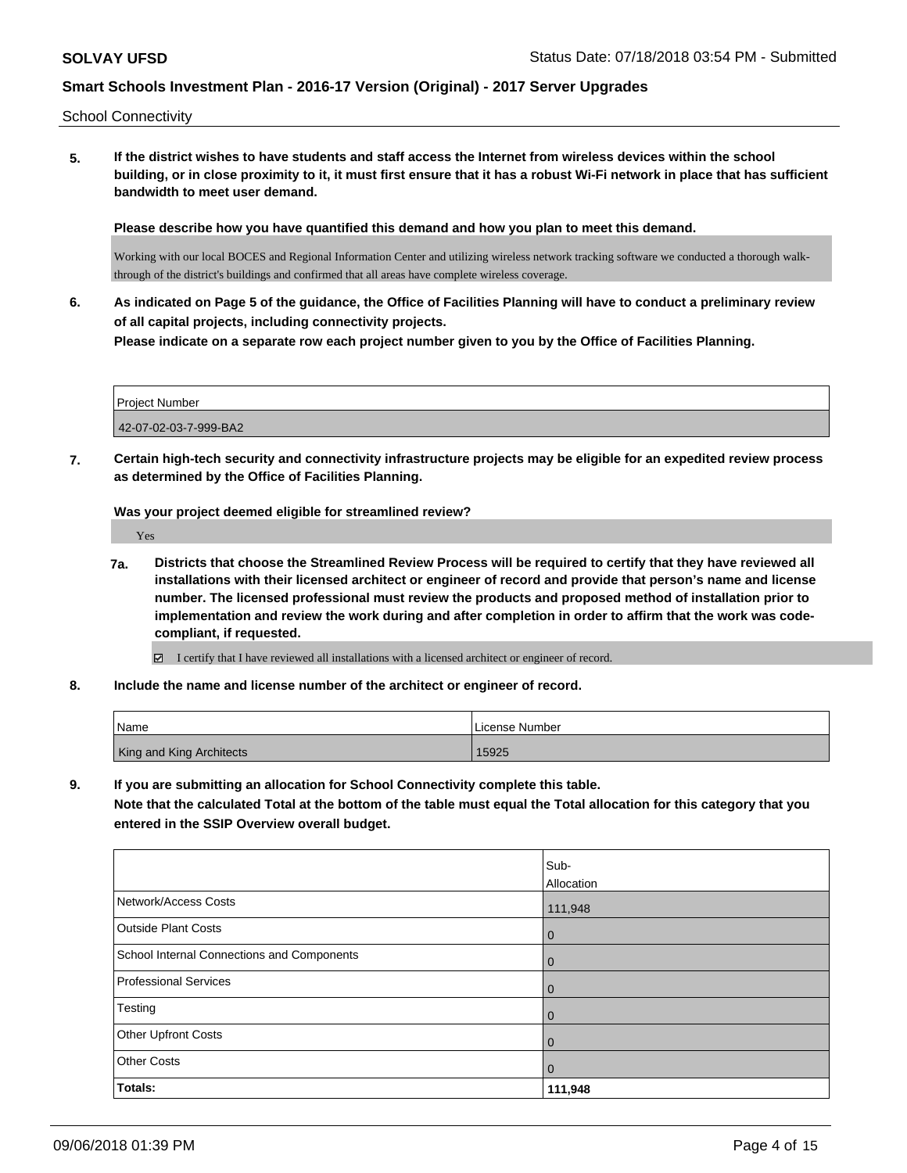School Connectivity

**5. If the district wishes to have students and staff access the Internet from wireless devices within the school building, or in close proximity to it, it must first ensure that it has a robust Wi-Fi network in place that has sufficient bandwidth to meet user demand.**

**Please describe how you have quantified this demand and how you plan to meet this demand.**

Working with our local BOCES and Regional Information Center and utilizing wireless network tracking software we conducted a thorough walkthrough of the district's buildings and confirmed that all areas have complete wireless coverage.

**6. As indicated on Page 5 of the guidance, the Office of Facilities Planning will have to conduct a preliminary review of all capital projects, including connectivity projects.**

**Please indicate on a separate row each project number given to you by the Office of Facilities Planning.**

Project Number 42-07-02-03-7-999-BA2

**7. Certain high-tech security and connectivity infrastructure projects may be eligible for an expedited review process as determined by the Office of Facilities Planning.**

**Was your project deemed eligible for streamlined review?**

Yes

**7a. Districts that choose the Streamlined Review Process will be required to certify that they have reviewed all installations with their licensed architect or engineer of record and provide that person's name and license number. The licensed professional must review the products and proposed method of installation prior to implementation and review the work during and after completion in order to affirm that the work was codecompliant, if requested.**

I certify that I have reviewed all installations with a licensed architect or engineer of record.

**8. Include the name and license number of the architect or engineer of record.**

| l Name                          | License Number |
|---------------------------------|----------------|
| <b>King and King Architects</b> | 15925          |

**9. If you are submitting an allocation for School Connectivity complete this table.**

**Note that the calculated Total at the bottom of the table must equal the Total allocation for this category that you entered in the SSIP Overview overall budget.** 

|                                            | Sub-           |
|--------------------------------------------|----------------|
|                                            | Allocation     |
| Network/Access Costs                       | 111,948        |
| <b>Outside Plant Costs</b>                 | $\overline{0}$ |
| School Internal Connections and Components | $\overline{0}$ |
| <b>Professional Services</b>               | $\overline{0}$ |
| Testing                                    | $\overline{0}$ |
| Other Upfront Costs                        | $\overline{0}$ |
| <b>Other Costs</b>                         | $\overline{0}$ |
| Totals:                                    | 111,948        |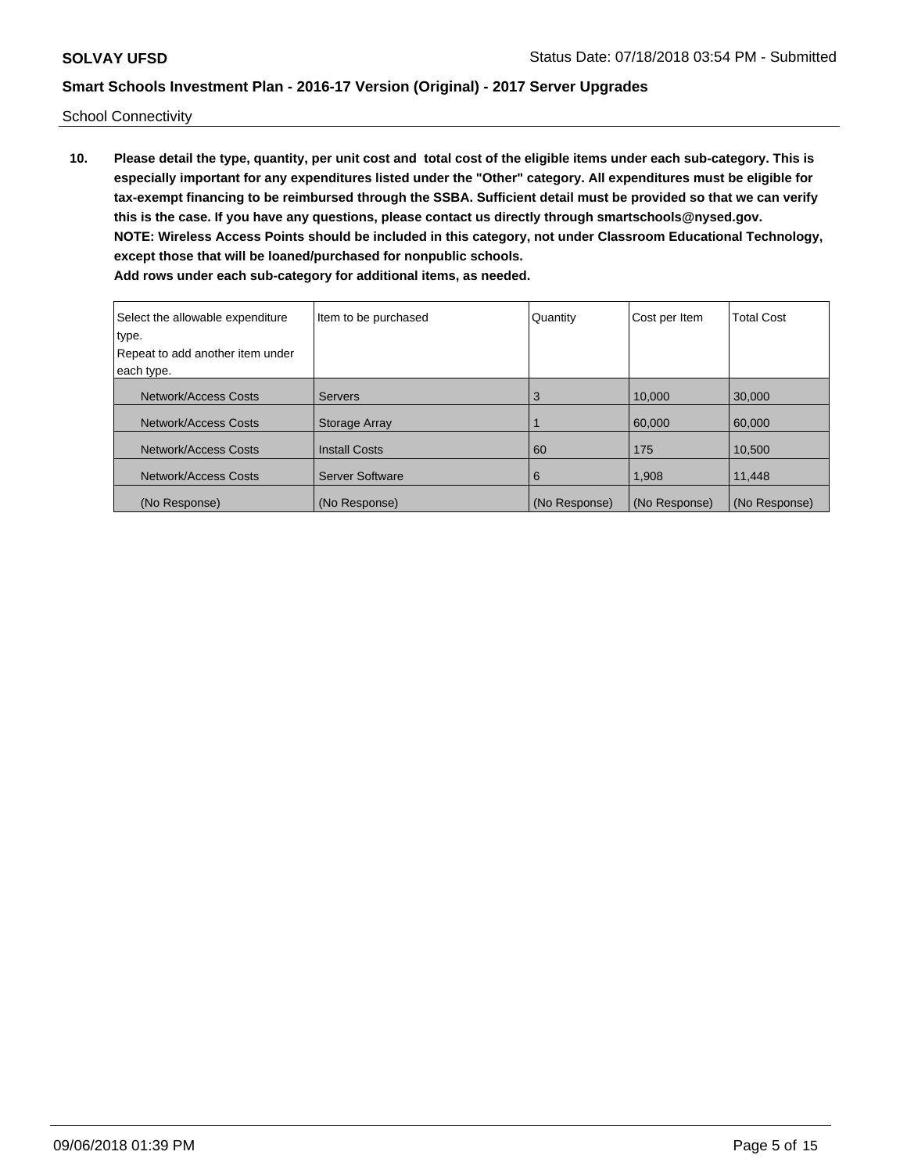School Connectivity

**10. Please detail the type, quantity, per unit cost and total cost of the eligible items under each sub-category. This is especially important for any expenditures listed under the "Other" category. All expenditures must be eligible for tax-exempt financing to be reimbursed through the SSBA. Sufficient detail must be provided so that we can verify this is the case. If you have any questions, please contact us directly through smartschools@nysed.gov. NOTE: Wireless Access Points should be included in this category, not under Classroom Educational Technology, except those that will be loaned/purchased for nonpublic schools. Add rows under each sub-category for additional items, as needed.**

| Select the allowable expenditure<br>type.<br>Repeat to add another item under<br>each type. | Item to be purchased   | Quantity      | Cost per Item | <b>Total Cost</b> |
|---------------------------------------------------------------------------------------------|------------------------|---------------|---------------|-------------------|
|                                                                                             |                        |               |               |                   |
| Network/Access Costs                                                                        | <b>Servers</b>         | 3             | 10.000        | 30,000            |
| Network/Access Costs                                                                        | Storage Array          |               | 60,000        | 60,000            |
| Network/Access Costs                                                                        | <b>Install Costs</b>   | 60            | 175           | 10.500            |
| Network/Access Costs                                                                        | <b>Server Software</b> | 6             | 1,908         | 11,448            |
| (No Response)                                                                               | (No Response)          | (No Response) | (No Response) | (No Response)     |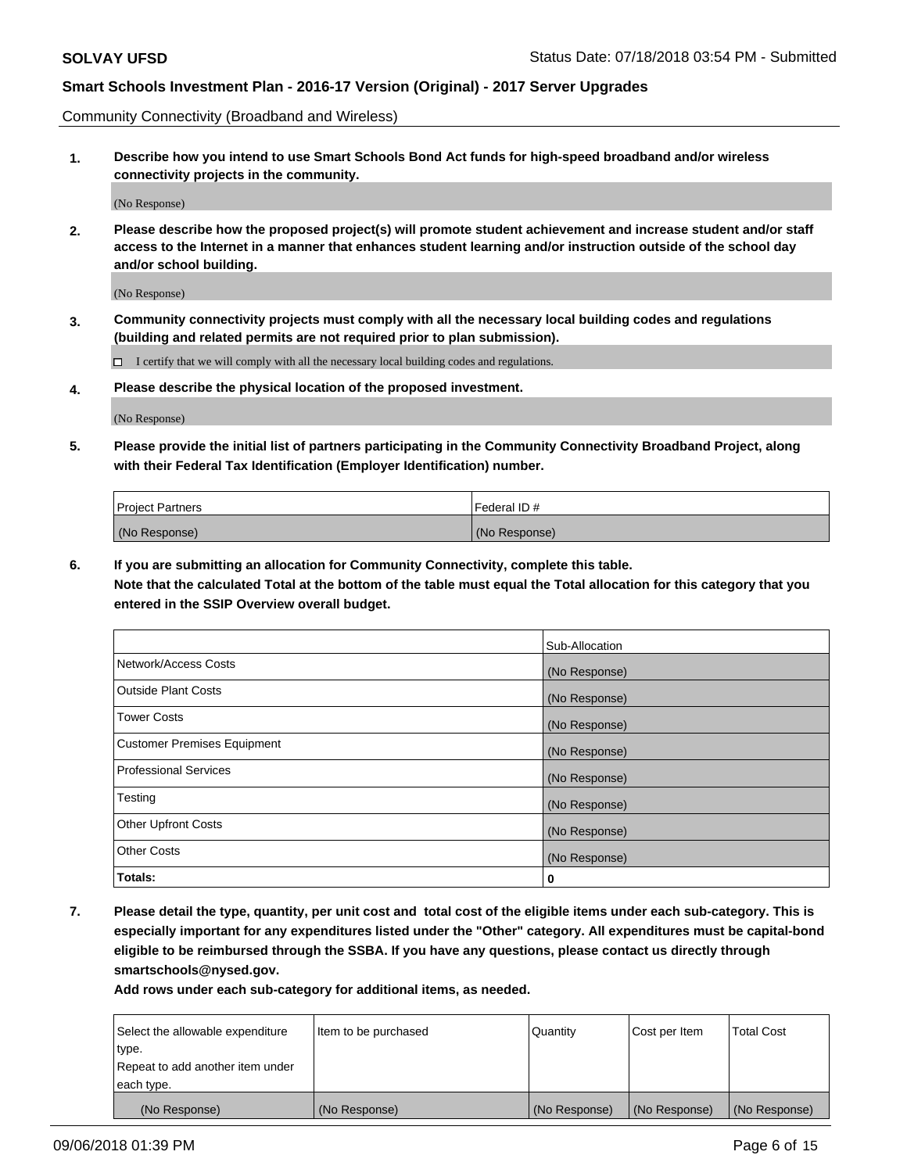Community Connectivity (Broadband and Wireless)

**1. Describe how you intend to use Smart Schools Bond Act funds for high-speed broadband and/or wireless connectivity projects in the community.**

(No Response)

**2. Please describe how the proposed project(s) will promote student achievement and increase student and/or staff access to the Internet in a manner that enhances student learning and/or instruction outside of the school day and/or school building.**

(No Response)

**3. Community connectivity projects must comply with all the necessary local building codes and regulations (building and related permits are not required prior to plan submission).**

 $\Box$  I certify that we will comply with all the necessary local building codes and regulations.

**4. Please describe the physical location of the proposed investment.**

(No Response)

**5. Please provide the initial list of partners participating in the Community Connectivity Broadband Project, along with their Federal Tax Identification (Employer Identification) number.**

| <b>Project Partners</b> | Federal ID#   |
|-------------------------|---------------|
| (No Response)           | (No Response) |

**6. If you are submitting an allocation for Community Connectivity, complete this table.**

**Note that the calculated Total at the bottom of the table must equal the Total allocation for this category that you entered in the SSIP Overview overall budget.**

|                                    | Sub-Allocation |
|------------------------------------|----------------|
| Network/Access Costs               | (No Response)  |
| <b>Outside Plant Costs</b>         | (No Response)  |
| <b>Tower Costs</b>                 | (No Response)  |
| <b>Customer Premises Equipment</b> | (No Response)  |
| <b>Professional Services</b>       | (No Response)  |
| Testing                            | (No Response)  |
| <b>Other Upfront Costs</b>         | (No Response)  |
| <b>Other Costs</b>                 | (No Response)  |
| Totals:                            | 0              |

**7. Please detail the type, quantity, per unit cost and total cost of the eligible items under each sub-category. This is especially important for any expenditures listed under the "Other" category. All expenditures must be capital-bond eligible to be reimbursed through the SSBA. If you have any questions, please contact us directly through smartschools@nysed.gov.**

| Select the allowable expenditure | Item to be purchased | Quantity      | Cost per Item | <b>Total Cost</b> |
|----------------------------------|----------------------|---------------|---------------|-------------------|
| type.                            |                      |               |               |                   |
| Repeat to add another item under |                      |               |               |                   |
| each type.                       |                      |               |               |                   |
| (No Response)                    | (No Response)        | (No Response) | (No Response) | (No Response)     |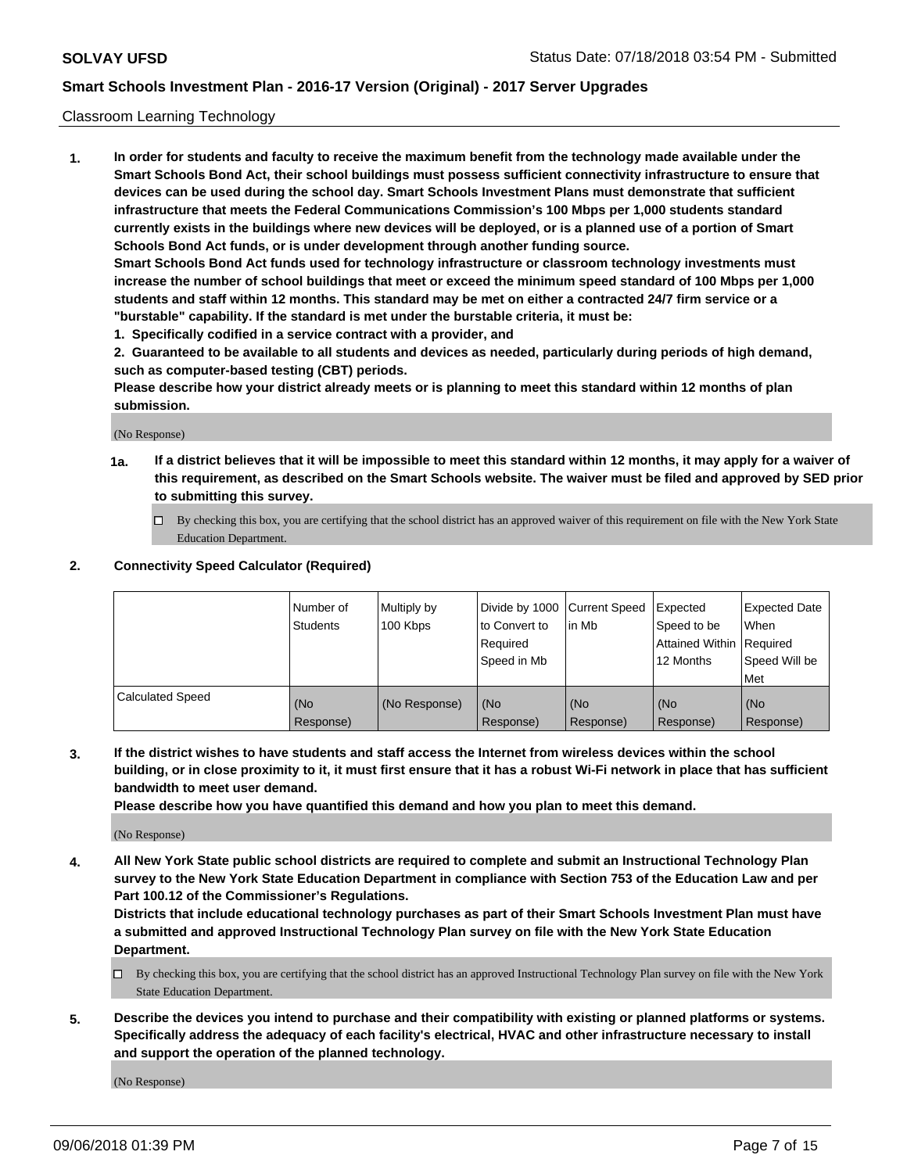#### Classroom Learning Technology

**1. In order for students and faculty to receive the maximum benefit from the technology made available under the Smart Schools Bond Act, their school buildings must possess sufficient connectivity infrastructure to ensure that devices can be used during the school day. Smart Schools Investment Plans must demonstrate that sufficient infrastructure that meets the Federal Communications Commission's 100 Mbps per 1,000 students standard currently exists in the buildings where new devices will be deployed, or is a planned use of a portion of Smart Schools Bond Act funds, or is under development through another funding source. Smart Schools Bond Act funds used for technology infrastructure or classroom technology investments must increase the number of school buildings that meet or exceed the minimum speed standard of 100 Mbps per 1,000**

**students and staff within 12 months. This standard may be met on either a contracted 24/7 firm service or a "burstable" capability. If the standard is met under the burstable criteria, it must be:**

**1. Specifically codified in a service contract with a provider, and**

**2. Guaranteed to be available to all students and devices as needed, particularly during periods of high demand, such as computer-based testing (CBT) periods.**

**Please describe how your district already meets or is planning to meet this standard within 12 months of plan submission.**

(No Response)

- **1a. If a district believes that it will be impossible to meet this standard within 12 months, it may apply for a waiver of this requirement, as described on the Smart Schools website. The waiver must be filed and approved by SED prior to submitting this survey.**
	- By checking this box, you are certifying that the school district has an approved waiver of this requirement on file with the New York State Education Department.

#### **2. Connectivity Speed Calculator (Required)**

|                         | I Number of<br>Students | Multiply by<br>100 Kbps | to Convert to<br>Required<br>Speed in Mb | Divide by 1000 Current Speed Expected<br>lin Mb | Speed to be<br>Attained Within Required<br>12 Months | <b>Expected Date</b><br>When<br>Speed Will be<br>Met |
|-------------------------|-------------------------|-------------------------|------------------------------------------|-------------------------------------------------|------------------------------------------------------|------------------------------------------------------|
| <b>Calculated Speed</b> | (No<br>Response)        | (No Response)           | (No<br>Response)                         | (No<br>Response)                                | (No<br>Response)                                     | (No<br>Response)                                     |

**3. If the district wishes to have students and staff access the Internet from wireless devices within the school building, or in close proximity to it, it must first ensure that it has a robust Wi-Fi network in place that has sufficient bandwidth to meet user demand.**

**Please describe how you have quantified this demand and how you plan to meet this demand.**

(No Response)

**4. All New York State public school districts are required to complete and submit an Instructional Technology Plan survey to the New York State Education Department in compliance with Section 753 of the Education Law and per Part 100.12 of the Commissioner's Regulations.**

**Districts that include educational technology purchases as part of their Smart Schools Investment Plan must have a submitted and approved Instructional Technology Plan survey on file with the New York State Education Department.**

- $\Box$  By checking this box, you are certifying that the school district has an approved Instructional Technology Plan survey on file with the New York State Education Department.
- **5. Describe the devices you intend to purchase and their compatibility with existing or planned platforms or systems. Specifically address the adequacy of each facility's electrical, HVAC and other infrastructure necessary to install and support the operation of the planned technology.**

(No Response)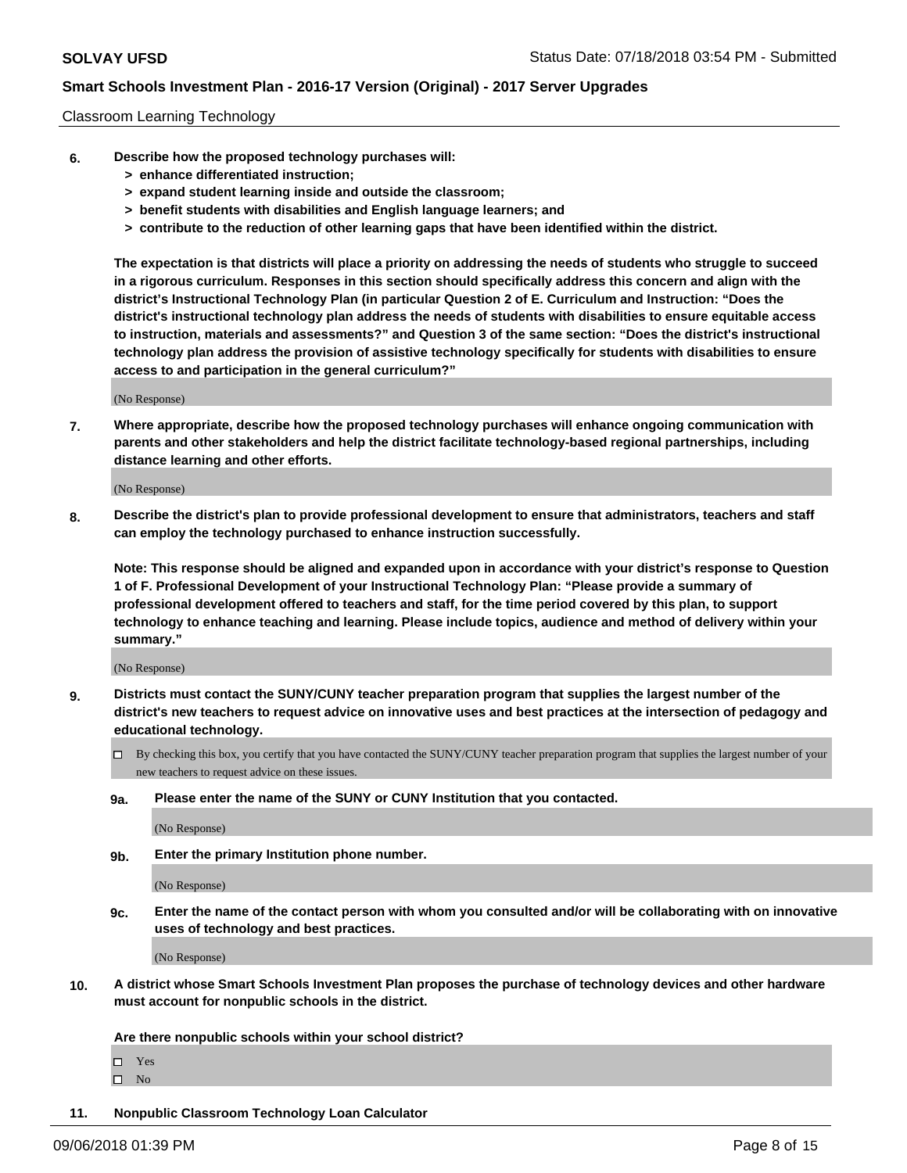#### Classroom Learning Technology

- **6. Describe how the proposed technology purchases will:**
	- **> enhance differentiated instruction;**
	- **> expand student learning inside and outside the classroom;**
	- **> benefit students with disabilities and English language learners; and**
	- **> contribute to the reduction of other learning gaps that have been identified within the district.**

**The expectation is that districts will place a priority on addressing the needs of students who struggle to succeed in a rigorous curriculum. Responses in this section should specifically address this concern and align with the district's Instructional Technology Plan (in particular Question 2 of E. Curriculum and Instruction: "Does the district's instructional technology plan address the needs of students with disabilities to ensure equitable access to instruction, materials and assessments?" and Question 3 of the same section: "Does the district's instructional technology plan address the provision of assistive technology specifically for students with disabilities to ensure access to and participation in the general curriculum?"**

(No Response)

**7. Where appropriate, describe how the proposed technology purchases will enhance ongoing communication with parents and other stakeholders and help the district facilitate technology-based regional partnerships, including distance learning and other efforts.**

(No Response)

**8. Describe the district's plan to provide professional development to ensure that administrators, teachers and staff can employ the technology purchased to enhance instruction successfully.**

**Note: This response should be aligned and expanded upon in accordance with your district's response to Question 1 of F. Professional Development of your Instructional Technology Plan: "Please provide a summary of professional development offered to teachers and staff, for the time period covered by this plan, to support technology to enhance teaching and learning. Please include topics, audience and method of delivery within your summary."**

(No Response)

- **9. Districts must contact the SUNY/CUNY teacher preparation program that supplies the largest number of the district's new teachers to request advice on innovative uses and best practices at the intersection of pedagogy and educational technology.**
	- By checking this box, you certify that you have contacted the SUNY/CUNY teacher preparation program that supplies the largest number of your new teachers to request advice on these issues.
	- **9a. Please enter the name of the SUNY or CUNY Institution that you contacted.**

(No Response)

**9b. Enter the primary Institution phone number.**

(No Response)

**9c. Enter the name of the contact person with whom you consulted and/or will be collaborating with on innovative uses of technology and best practices.**

(No Response)

**10. A district whose Smart Schools Investment Plan proposes the purchase of technology devices and other hardware must account for nonpublic schools in the district.**

**Are there nonpublic schools within your school district?**

Yes

 $\square$  No

**11. Nonpublic Classroom Technology Loan Calculator**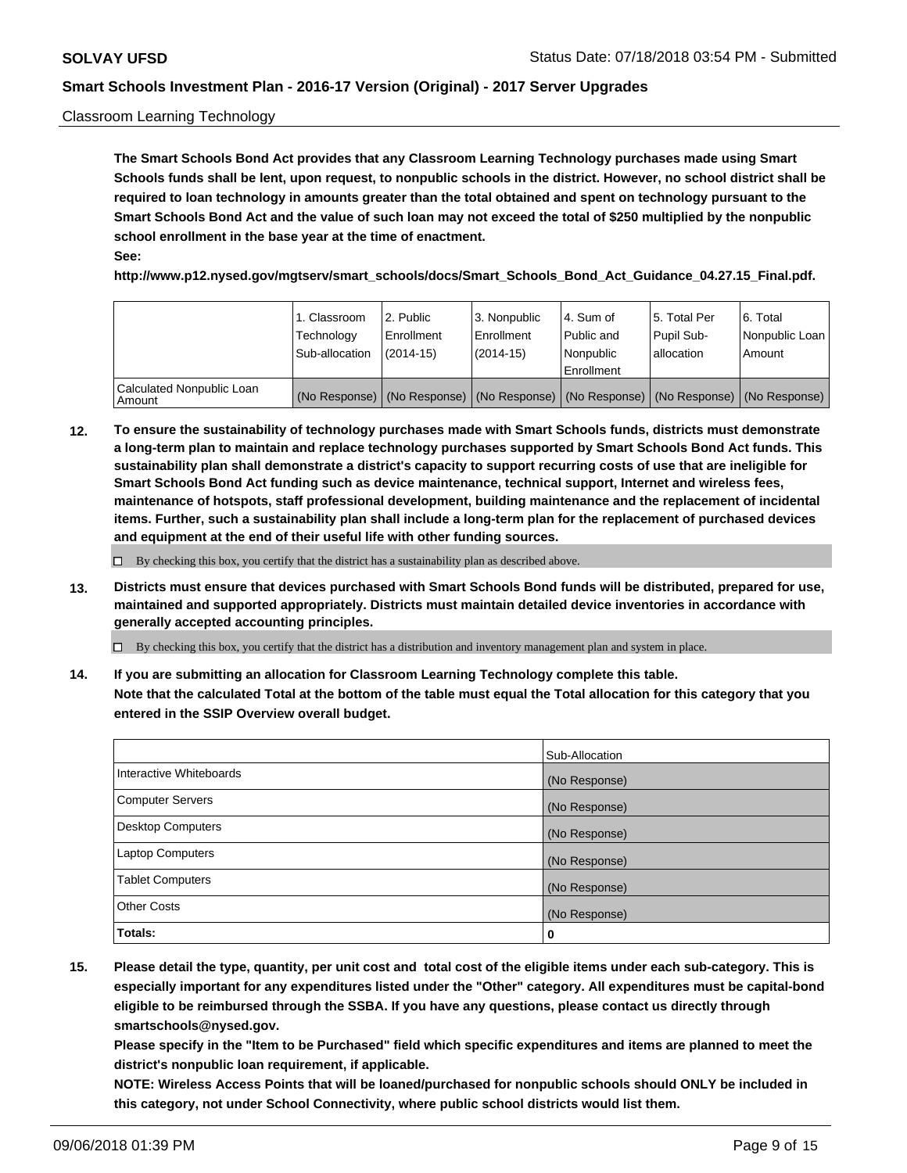#### Classroom Learning Technology

**The Smart Schools Bond Act provides that any Classroom Learning Technology purchases made using Smart Schools funds shall be lent, upon request, to nonpublic schools in the district. However, no school district shall be required to loan technology in amounts greater than the total obtained and spent on technology pursuant to the Smart Schools Bond Act and the value of such loan may not exceed the total of \$250 multiplied by the nonpublic school enrollment in the base year at the time of enactment. See:**

**http://www.p12.nysed.gov/mgtserv/smart\_schools/docs/Smart\_Schools\_Bond\_Act\_Guidance\_04.27.15\_Final.pdf.**

|                                       | 1. Classroom<br>Technology<br>Sub-allocation | 2. Public<br>l Enrollment<br>(2014-15) | l 3. Nonpublic<br>l Enrollment<br>$(2014 - 15)$ | l 4. Sum of<br>l Public and<br>l Nonpublic<br>Enrollment                                      | 15. Total Per<br>Pupil Sub-<br>l allocation | l 6. Total<br>Nonpublic Loan<br>Amount |
|---------------------------------------|----------------------------------------------|----------------------------------------|-------------------------------------------------|-----------------------------------------------------------------------------------------------|---------------------------------------------|----------------------------------------|
| Calculated Nonpublic Loan<br>l Amount |                                              |                                        |                                                 | (No Response)   (No Response)   (No Response)   (No Response)   (No Response)   (No Response) |                                             |                                        |

**12. To ensure the sustainability of technology purchases made with Smart Schools funds, districts must demonstrate a long-term plan to maintain and replace technology purchases supported by Smart Schools Bond Act funds. This sustainability plan shall demonstrate a district's capacity to support recurring costs of use that are ineligible for Smart Schools Bond Act funding such as device maintenance, technical support, Internet and wireless fees, maintenance of hotspots, staff professional development, building maintenance and the replacement of incidental items. Further, such a sustainability plan shall include a long-term plan for the replacement of purchased devices and equipment at the end of their useful life with other funding sources.**

 $\Box$  By checking this box, you certify that the district has a sustainability plan as described above.

**13. Districts must ensure that devices purchased with Smart Schools Bond funds will be distributed, prepared for use, maintained and supported appropriately. Districts must maintain detailed device inventories in accordance with generally accepted accounting principles.**

By checking this box, you certify that the district has a distribution and inventory management plan and system in place.

**14. If you are submitting an allocation for Classroom Learning Technology complete this table. Note that the calculated Total at the bottom of the table must equal the Total allocation for this category that you entered in the SSIP Overview overall budget.**

|                          | Sub-Allocation |
|--------------------------|----------------|
| Interactive Whiteboards  | (No Response)  |
| <b>Computer Servers</b>  | (No Response)  |
| <b>Desktop Computers</b> | (No Response)  |
| <b>Laptop Computers</b>  | (No Response)  |
| <b>Tablet Computers</b>  | (No Response)  |
| <b>Other Costs</b>       | (No Response)  |
| Totals:                  | 0              |

**15. Please detail the type, quantity, per unit cost and total cost of the eligible items under each sub-category. This is especially important for any expenditures listed under the "Other" category. All expenditures must be capital-bond eligible to be reimbursed through the SSBA. If you have any questions, please contact us directly through smartschools@nysed.gov.**

**Please specify in the "Item to be Purchased" field which specific expenditures and items are planned to meet the district's nonpublic loan requirement, if applicable.**

**NOTE: Wireless Access Points that will be loaned/purchased for nonpublic schools should ONLY be included in this category, not under School Connectivity, where public school districts would list them.**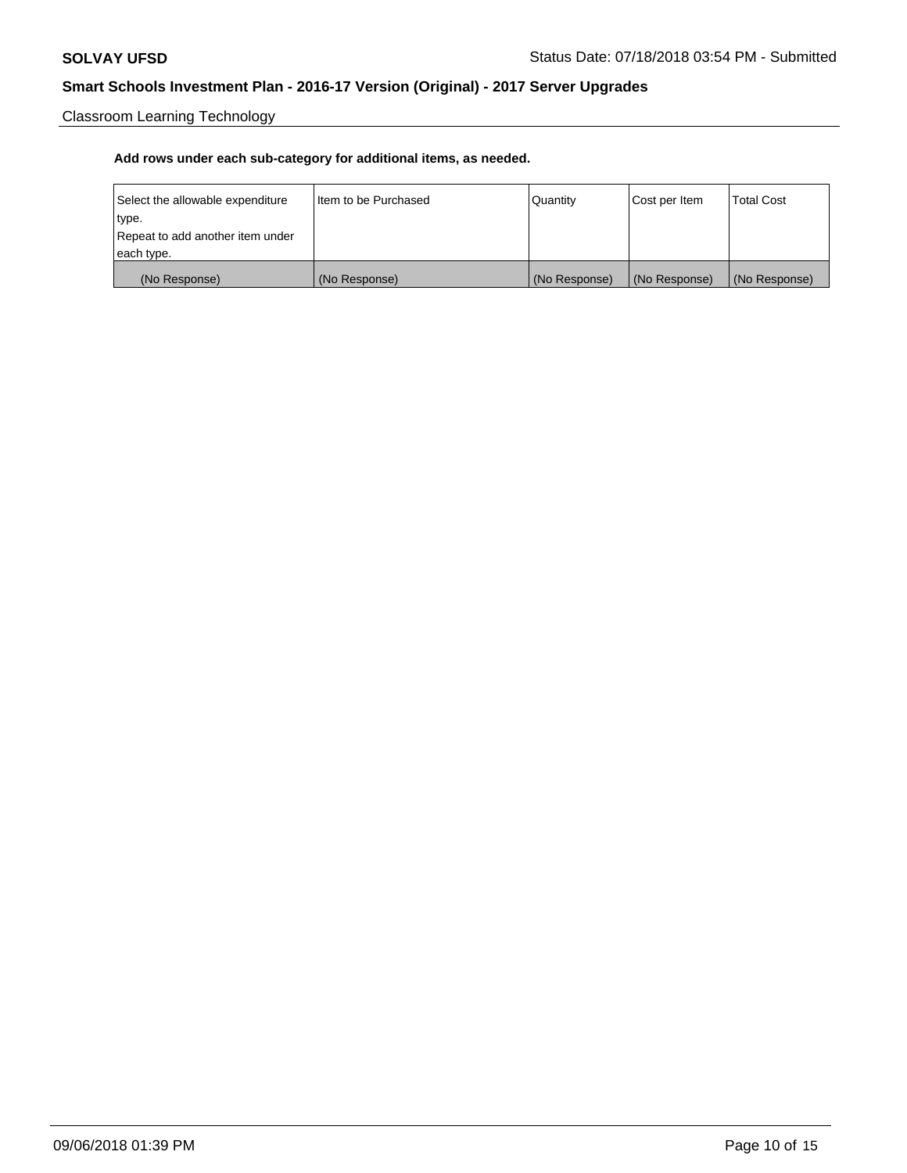Classroom Learning Technology

| Select the allowable expenditure | Iltem to be Purchased | Quantity      | Cost per Item | <b>Total Cost</b> |
|----------------------------------|-----------------------|---------------|---------------|-------------------|
| type.                            |                       |               |               |                   |
| Repeat to add another item under |                       |               |               |                   |
| each type.                       |                       |               |               |                   |
| (No Response)                    | (No Response)         | (No Response) | (No Response) | (No Response)     |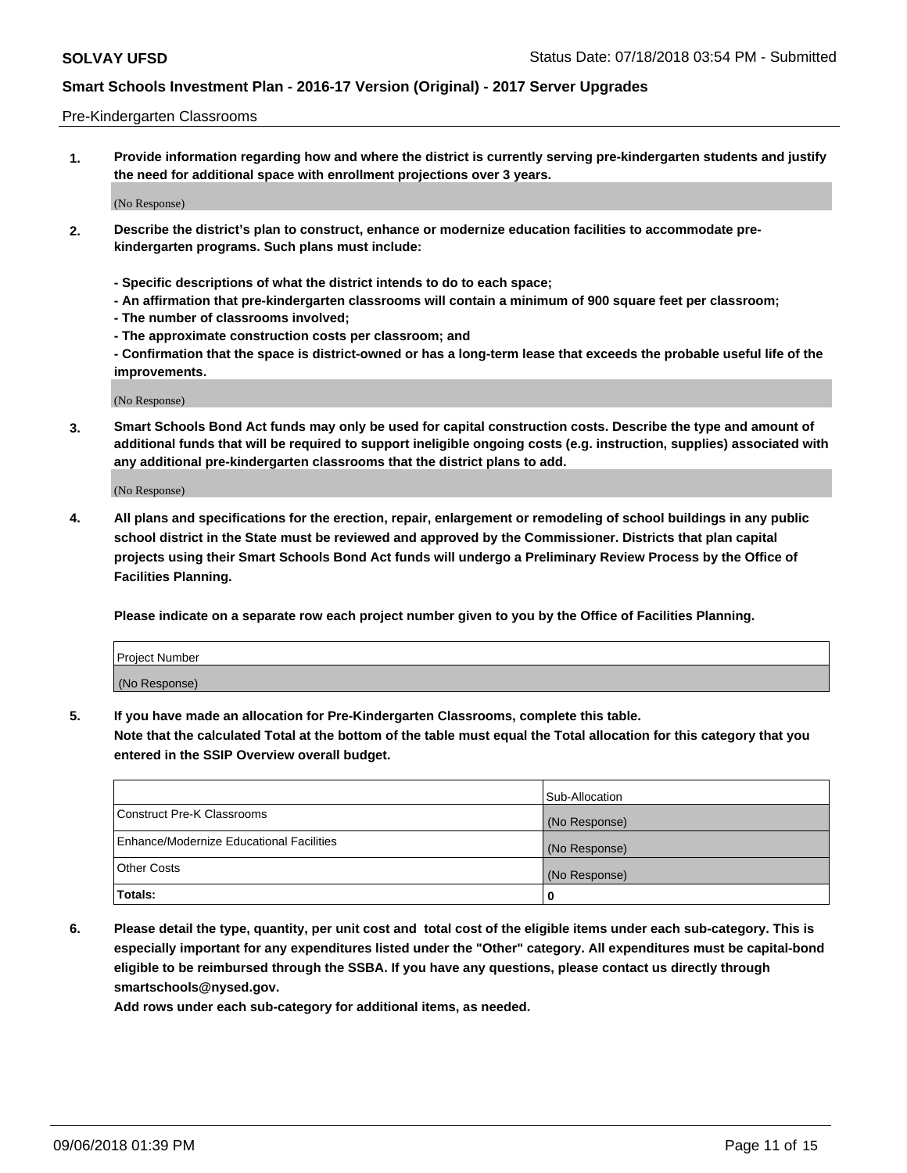#### Pre-Kindergarten Classrooms

**1. Provide information regarding how and where the district is currently serving pre-kindergarten students and justify the need for additional space with enrollment projections over 3 years.**

(No Response)

- **2. Describe the district's plan to construct, enhance or modernize education facilities to accommodate prekindergarten programs. Such plans must include:**
	- **Specific descriptions of what the district intends to do to each space;**
	- **An affirmation that pre-kindergarten classrooms will contain a minimum of 900 square feet per classroom;**
	- **The number of classrooms involved;**
	- **The approximate construction costs per classroom; and**
	- **Confirmation that the space is district-owned or has a long-term lease that exceeds the probable useful life of the improvements.**

(No Response)

**3. Smart Schools Bond Act funds may only be used for capital construction costs. Describe the type and amount of additional funds that will be required to support ineligible ongoing costs (e.g. instruction, supplies) associated with any additional pre-kindergarten classrooms that the district plans to add.**

(No Response)

**4. All plans and specifications for the erection, repair, enlargement or remodeling of school buildings in any public school district in the State must be reviewed and approved by the Commissioner. Districts that plan capital projects using their Smart Schools Bond Act funds will undergo a Preliminary Review Process by the Office of Facilities Planning.**

**Please indicate on a separate row each project number given to you by the Office of Facilities Planning.**

| Project Number |  |
|----------------|--|
| (No Response)  |  |
|                |  |

**5. If you have made an allocation for Pre-Kindergarten Classrooms, complete this table.**

**Note that the calculated Total at the bottom of the table must equal the Total allocation for this category that you entered in the SSIP Overview overall budget.**

|                                          | Sub-Allocation |
|------------------------------------------|----------------|
| Construct Pre-K Classrooms               | (No Response)  |
| Enhance/Modernize Educational Facilities | (No Response)  |
| <b>Other Costs</b>                       | (No Response)  |
| Totals:                                  | 0              |

**6. Please detail the type, quantity, per unit cost and total cost of the eligible items under each sub-category. This is especially important for any expenditures listed under the "Other" category. All expenditures must be capital-bond eligible to be reimbursed through the SSBA. If you have any questions, please contact us directly through smartschools@nysed.gov.**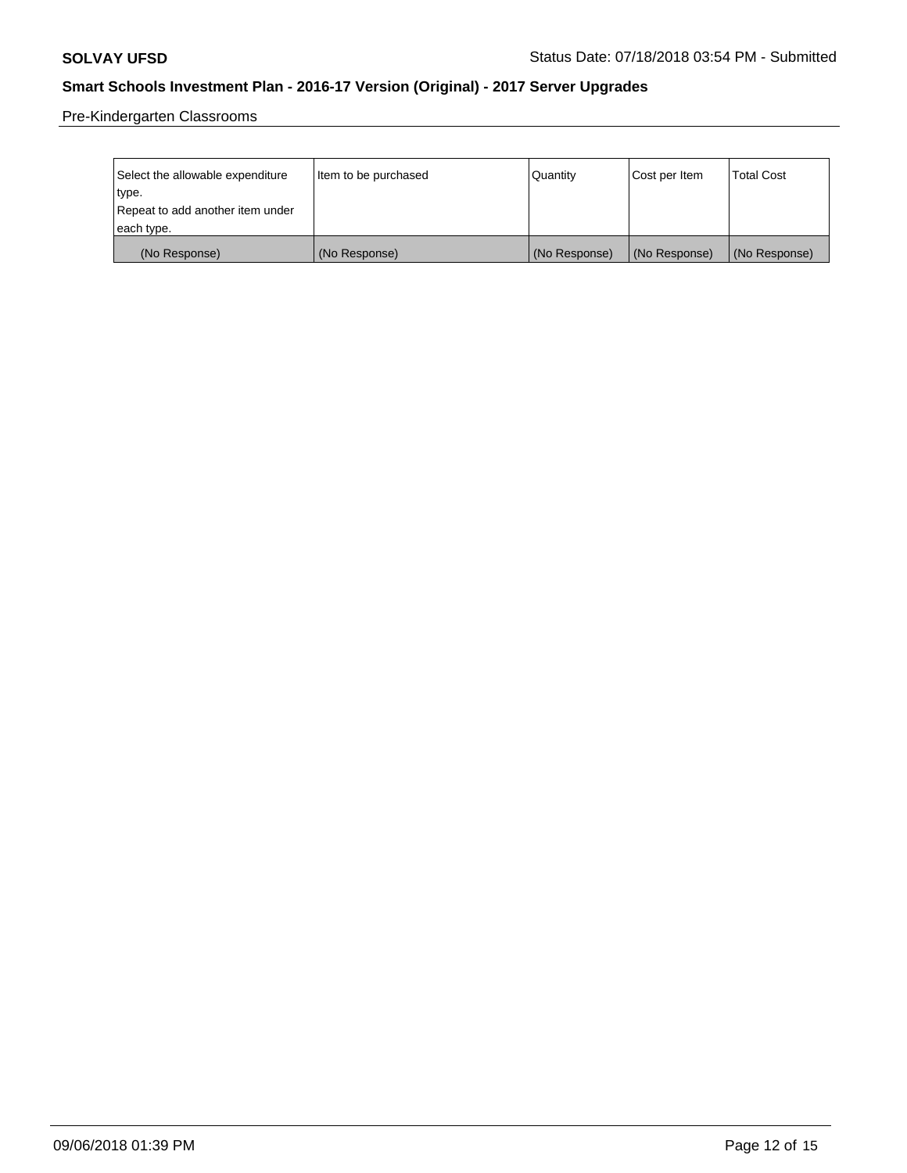Pre-Kindergarten Classrooms

| Select the allowable expenditure | Item to be purchased | Quantity      | Cost per Item | <b>Total Cost</b> |
|----------------------------------|----------------------|---------------|---------------|-------------------|
| type.                            |                      |               |               |                   |
| Repeat to add another item under |                      |               |               |                   |
| each type.                       |                      |               |               |                   |
| (No Response)                    | (No Response)        | (No Response) | (No Response) | (No Response)     |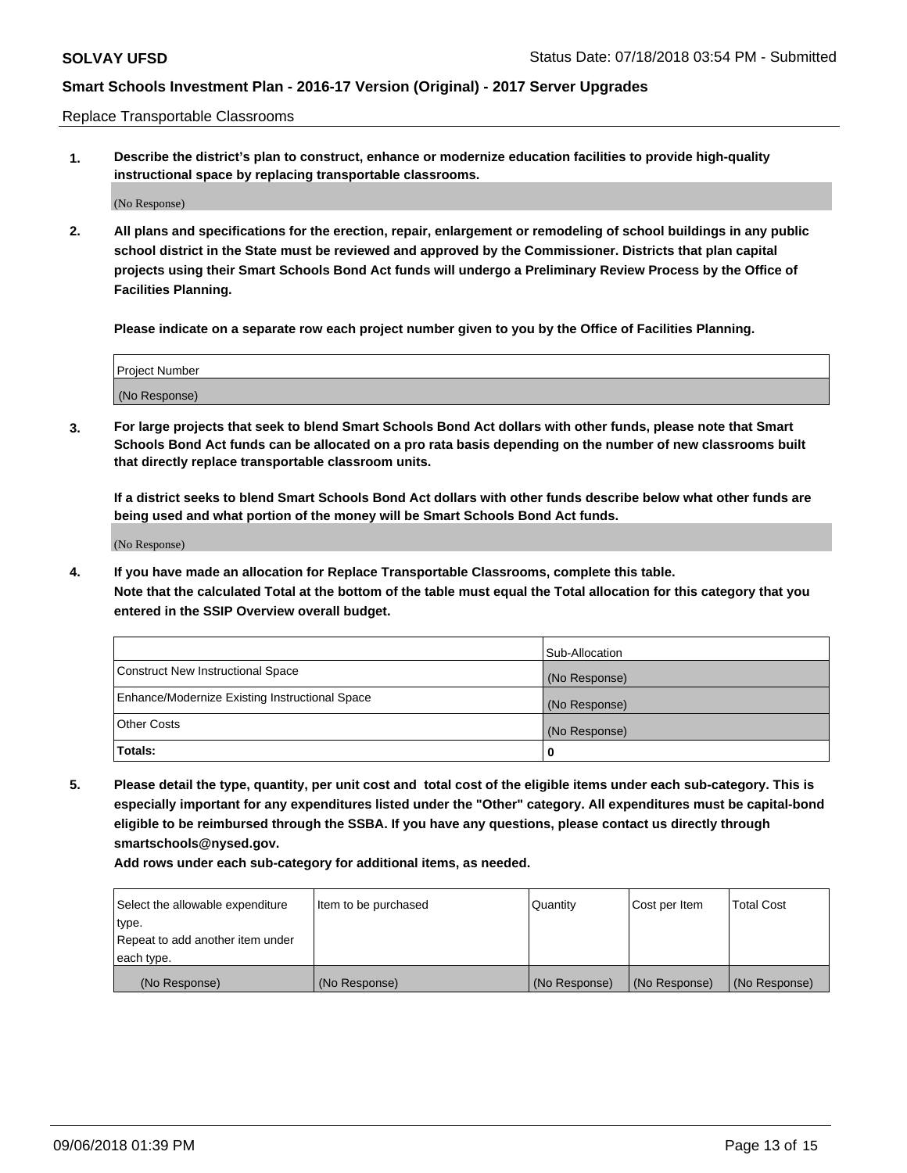Replace Transportable Classrooms

**1. Describe the district's plan to construct, enhance or modernize education facilities to provide high-quality instructional space by replacing transportable classrooms.**

(No Response)

**2. All plans and specifications for the erection, repair, enlargement or remodeling of school buildings in any public school district in the State must be reviewed and approved by the Commissioner. Districts that plan capital projects using their Smart Schools Bond Act funds will undergo a Preliminary Review Process by the Office of Facilities Planning.**

**Please indicate on a separate row each project number given to you by the Office of Facilities Planning.**

| Project Number |  |
|----------------|--|
|                |  |
|                |  |
| (No Response)  |  |

**3. For large projects that seek to blend Smart Schools Bond Act dollars with other funds, please note that Smart Schools Bond Act funds can be allocated on a pro rata basis depending on the number of new classrooms built that directly replace transportable classroom units.**

**If a district seeks to blend Smart Schools Bond Act dollars with other funds describe below what other funds are being used and what portion of the money will be Smart Schools Bond Act funds.**

(No Response)

**4. If you have made an allocation for Replace Transportable Classrooms, complete this table. Note that the calculated Total at the bottom of the table must equal the Total allocation for this category that you entered in the SSIP Overview overall budget.**

|                                                | Sub-Allocation |
|------------------------------------------------|----------------|
| Construct New Instructional Space              | (No Response)  |
| Enhance/Modernize Existing Instructional Space | (No Response)  |
| <b>Other Costs</b>                             | (No Response)  |
| Totals:                                        | 0              |

**5. Please detail the type, quantity, per unit cost and total cost of the eligible items under each sub-category. This is especially important for any expenditures listed under the "Other" category. All expenditures must be capital-bond eligible to be reimbursed through the SSBA. If you have any questions, please contact us directly through smartschools@nysed.gov.**

| Select the allowable expenditure | Item to be purchased | l Quantitv    | Cost per Item | <b>Total Cost</b> |
|----------------------------------|----------------------|---------------|---------------|-------------------|
| type.                            |                      |               |               |                   |
| Repeat to add another item under |                      |               |               |                   |
| each type.                       |                      |               |               |                   |
| (No Response)                    | (No Response)        | (No Response) | (No Response) | (No Response)     |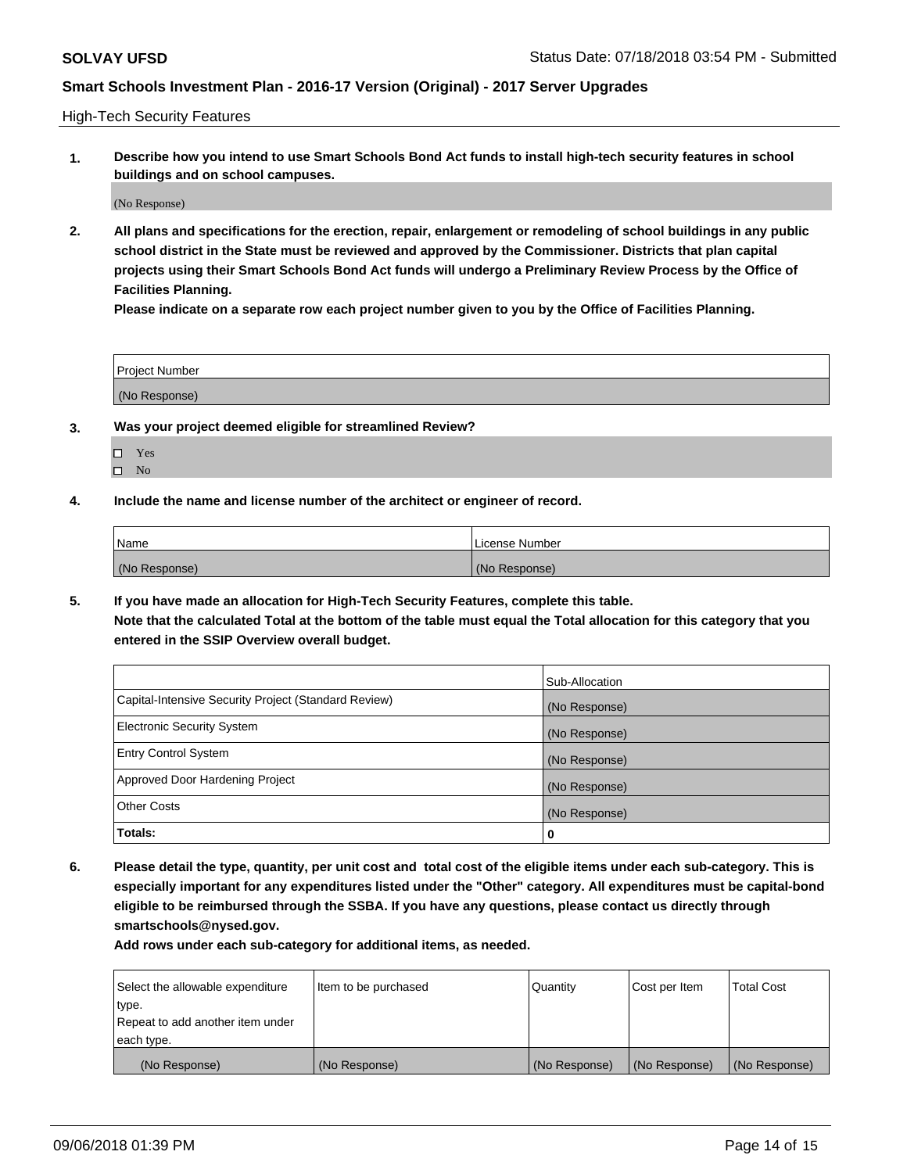High-Tech Security Features

**1. Describe how you intend to use Smart Schools Bond Act funds to install high-tech security features in school buildings and on school campuses.**

(No Response)

**2. All plans and specifications for the erection, repair, enlargement or remodeling of school buildings in any public school district in the State must be reviewed and approved by the Commissioner. Districts that plan capital projects using their Smart Schools Bond Act funds will undergo a Preliminary Review Process by the Office of Facilities Planning.** 

**Please indicate on a separate row each project number given to you by the Office of Facilities Planning.**

| <b>Project Number</b> |  |
|-----------------------|--|
| (No Response)         |  |

- **3. Was your project deemed eligible for streamlined Review?**
	- Yes
	- $\square$  No
- **4. Include the name and license number of the architect or engineer of record.**

| <b>Name</b>   | License Number |
|---------------|----------------|
| (No Response) | (No Response)  |

**5. If you have made an allocation for High-Tech Security Features, complete this table.**

**Note that the calculated Total at the bottom of the table must equal the Total allocation for this category that you entered in the SSIP Overview overall budget.**

|                                                      | Sub-Allocation |
|------------------------------------------------------|----------------|
| Capital-Intensive Security Project (Standard Review) | (No Response)  |
| <b>Electronic Security System</b>                    | (No Response)  |
| <b>Entry Control System</b>                          | (No Response)  |
| Approved Door Hardening Project                      | (No Response)  |
| <b>Other Costs</b>                                   | (No Response)  |
| Totals:                                              | 0              |

**6. Please detail the type, quantity, per unit cost and total cost of the eligible items under each sub-category. This is especially important for any expenditures listed under the "Other" category. All expenditures must be capital-bond eligible to be reimbursed through the SSBA. If you have any questions, please contact us directly through smartschools@nysed.gov.**

| Select the allowable expenditure | Item to be purchased | Quantity      | Cost per Item | <b>Total Cost</b> |
|----------------------------------|----------------------|---------------|---------------|-------------------|
| type.                            |                      |               |               |                   |
| Repeat to add another item under |                      |               |               |                   |
| each type.                       |                      |               |               |                   |
| (No Response)                    | (No Response)        | (No Response) | (No Response) | (No Response)     |